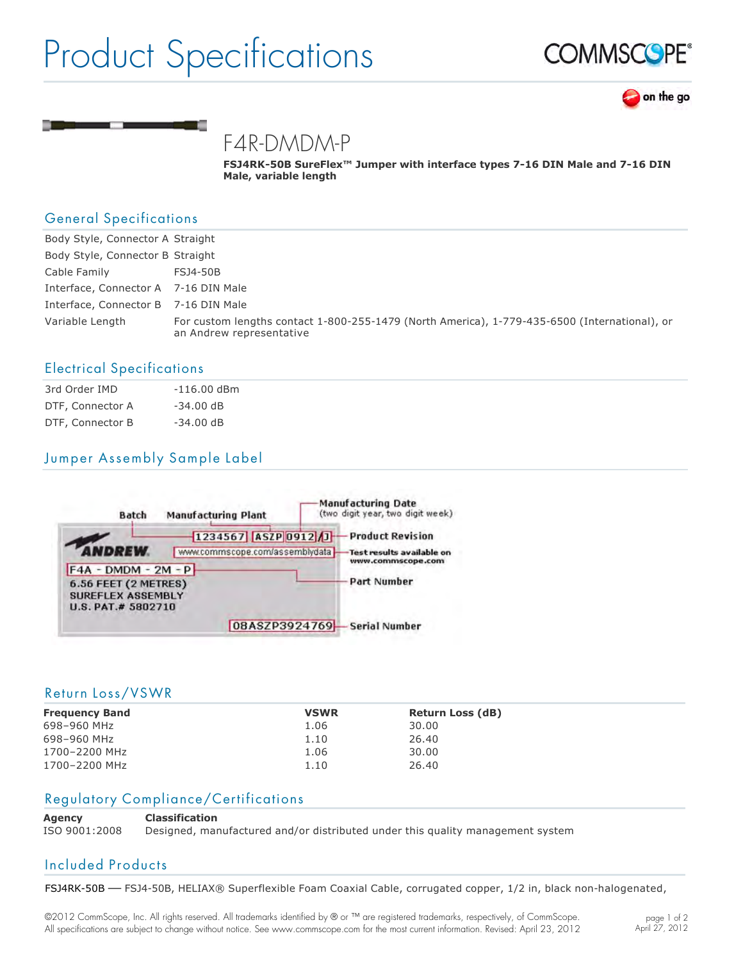## Product Specifications





### F4R-DMDM-P

**FSJ4RK-50B SureFlex™ Jumper with interface types 7-16 DIN Male and 7-16 DIN Male, variable length**

#### General Specifications

| Body Style, Connector A Straight     |                                                                                                                           |
|--------------------------------------|---------------------------------------------------------------------------------------------------------------------------|
| Body Style, Connector B Straight     |                                                                                                                           |
| Cable Family                         | FSJ4-50B                                                                                                                  |
| Interface, Connector A 7-16 DIN Male |                                                                                                                           |
| Interface, Connector B 7-16 DIN Male |                                                                                                                           |
| Variable Length                      | For custom lengths contact 1-800-255-1479 (North America), 1-779-435-6500 (International), or<br>an Andrew representative |

#### Electrical Specifications

| 3rd Order IMD    | $-116.00$ dBm |
|------------------|---------------|
| DTF, Connector A | $-34.00$ dB   |
| DTF, Connector B | $-34.00$ dB   |

### Jumper Assembly Sample Label



#### Return Loss/VSWR

| <b>Frequency Band</b> | <b>VSWR</b> | <b>Return Loss (dB)</b> |
|-----------------------|-------------|-------------------------|
| 698-960 MHz           | 1.06        | 30.00                   |
| 698-960 MHz           | 1.10        | 26.40                   |
| 1700-2200 MHz         | 1.06        | 30.00                   |
| 1700-2200 MHz         | 1.10        | 26.40                   |

#### Regulatory Compliance/Certifications

**Agency Classification**

ISO 9001:2008 Designed, manufactured and/or distributed under this quality management system

#### Included Products

FSJ4RK-50B - FSJ4-50B, HELIAX® Superflexible Foam Coaxial Cable, corrugated copper, 1/2 in, black non-halogenated,